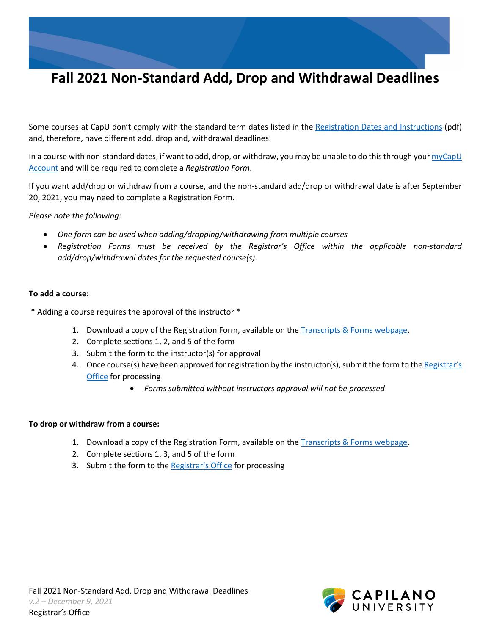Some courses at CapU don't comply with the standard term dates listed in the [Registration Dates and Instructions](https://www.capilanou.ca/media/capilanouca/admissions/course-registration/registration-dates/Fall-2021-Registration-Dates-and-Instructions.pdf) (pdf) and, therefore, have different add, drop and, withdrawal deadlines.

In a course with non-standard dates, if want to add, drop, or withdraw, you may be unable to do this through your  $myCapU$ [Account](https://ssb.capilanou.ca/prod/twbkwbis.P_WWWLogin) and will be required to complete a *Registration Form*.

If you want add/drop or withdraw from a course, and the non-standard add/drop or withdrawal date is after September 20, 2021, you may need to complete a Registration Form.

*Please note the following:* 

- *One form can be used when adding/dropping/withdrawing from multiple courses*
- *Registration Forms must be received by the Registrar's Office within the applicable non-standard add/drop/withdrawal dates for the requested course(s).*

## **To add a course:**

\* Adding a course requires the approval of the instructor \*

- 1. Download a copy of the Registration Form, available on the **Transcripts & Forms webpage**.
- 2. Complete sections 1, 2, and 5 of the form
- 3. Submit the form to the instructor(s) for approval
- 4. Once course(s) have been approved for registration by the instructor(s), submit the form to the Registrar's [Office](https://www.capilanou.ca/admissions/course-registration/registrars-office/transcripts--forms/) for processing
	- *Forms submitted without instructors approval will not be processed*

## **To drop or withdraw from a course:**

- 1. Download a copy of the Registration Form, available on the [Transcripts & Forms webpage.](https://www.capilanou.ca/admissions/course-registration/registrars-office/transcripts--forms/)
- 2. Complete sections 1, 3, and 5 of the form
- 3. Submit the form to the [Registrar's Office](https://www.capilanou.ca/admissions/course-registration/registrars-office/transcripts--forms/) for processing

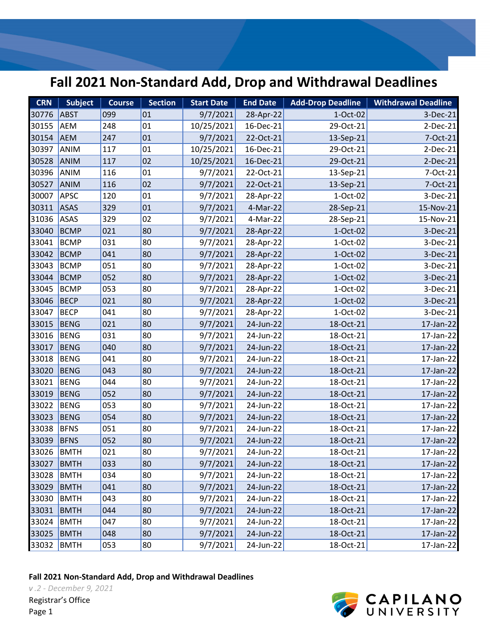| <b>CRN</b> | <b>Subject</b> | Course | <b>Section</b> | <b>Start Date</b> | <b>End Date</b> | Add-Drop Deadline | <b>Withdrawal Deadline</b> |
|------------|----------------|--------|----------------|-------------------|-----------------|-------------------|----------------------------|
| 30776      | <b>ABST</b>    | 099    | 01             | 9/7/2021          | 28-Apr-22       | 1-Oct-02          | 3-Dec-21                   |
| 30155      | <b>AEM</b>     | 248    | 01             | 10/25/2021        | 16-Dec-21       | 29-Oct-21         | $2-Dec-21$                 |
| 30154      | <b>AEM</b>     | 247    | 01             | 9/7/2021          | 22-Oct-21       | 13-Sep-21         | 7-Oct-21                   |
| 30397      | ANIM           | 117    | 01             | 10/25/2021        | 16-Dec-21       | 29-Oct-21         | $2-Dec-21$                 |
| 30528      | ANIM           | 117    | 02             | 10/25/2021        | 16-Dec-21       | 29-Oct-21         | 2-Dec-21                   |
| 30396      | ANIM           | 116    | 01             | 9/7/2021          | 22-Oct-21       | 13-Sep-21         | 7-Oct-21                   |
| 30527      | ANIM           | 116    | 02             | 9/7/2021          | 22-Oct-21       | 13-Sep-21         | 7-Oct-21                   |
| 30007      | <b>APSC</b>    | 120    | 01             | 9/7/2021          | 28-Apr-22       | 1-Oct-02          | 3-Dec-21                   |
| 30311      | <b>ASAS</b>    | 329    | 01             | 9/7/2021          | 4-Mar-22        | 28-Sep-21         | 15-Nov-21                  |
| 31036      | ASAS           | 329    | 02             | 9/7/2021          | 4-Mar-22        | 28-Sep-21         | 15-Nov-21                  |
| 33040      | <b>BCMP</b>    | 021    | 80             | 9/7/2021          | 28-Apr-22       | 1-Oct-02          | 3-Dec-21                   |
| 33041      | <b>BCMP</b>    | 031    | 80             | 9/7/2021          | 28-Apr-22       | 1-Oct-02          | 3-Dec-21                   |
| 33042      | <b>BCMP</b>    | 041    | 80             | 9/7/2021          | 28-Apr-22       | 1-Oct-02          | 3-Dec-21                   |
| 33043      | <b>BCMP</b>    | 051    | 80             | 9/7/2021          | 28-Apr-22       | 1-Oct-02          | 3-Dec-21                   |
| 33044      | <b>BCMP</b>    | 052    | 80             | 9/7/2021          | 28-Apr-22       | 1-Oct-02          | 3-Dec-21                   |
| 33045      | <b>BCMP</b>    | 053    | 80             | 9/7/2021          | 28-Apr-22       | 1-Oct-02          | 3-Dec-21                   |
| 33046      | <b>BECP</b>    | 021    | 80             | 9/7/2021          | 28-Apr-22       | 1-Oct-02          | 3-Dec-21                   |
| 33047      | <b>BECP</b>    | 041    | 80             | 9/7/2021          | 28-Apr-22       | 1-Oct-02          | 3-Dec-21                   |
| 33015      | <b>BENG</b>    | 021    | 80             | 9/7/2021          | 24-Jun-22       | 18-Oct-21         | 17-Jan-22                  |
| 33016      | <b>BENG</b>    | 031    | 80             | 9/7/2021          | 24-Jun-22       | 18-Oct-21         | 17-Jan-22                  |
| 33017      | <b>BENG</b>    | 040    | 80             | 9/7/2021          | 24-Jun-22       | 18-Oct-21         | 17-Jan-22                  |
| 33018      | <b>BENG</b>    | 041    | 80             | 9/7/2021          | 24-Jun-22       | 18-Oct-21         | 17-Jan-22                  |
| 33020      | <b>BENG</b>    | 043    | 80             | 9/7/2021          | 24-Jun-22       | 18-Oct-21         | 17-Jan-22                  |
| 33021      | <b>BENG</b>    | 044    | 80             | 9/7/2021          | 24-Jun-22       | 18-Oct-21         | 17-Jan-22                  |
| 33019      | <b>BENG</b>    | 052    | 80             | 9/7/2021          | 24-Jun-22       | 18-Oct-21         | $17$ -Jan-22               |
| 33022      | <b>BENG</b>    | 053    | 80             | 9/7/2021          | 24-Jun-22       | 18-Oct-21         | 17-Jan-22                  |
| 33023      | <b>BENG</b>    | 054    | 80             | 9/7/2021          | 24-Jun-22       | 18-Oct-21         | 17-Jan-22                  |
| 33038      | <b>BFNS</b>    | 051    | 80             | 9/7/2021          | 24-Jun-22       | 18-Oct-21         | 17-Jan-22                  |
| 33039      | <b>BFNS</b>    | 052    | 80             | 9/7/2021          | 24-Jun-22       | 18-Oct-21         | $17$ -Jan-22               |
| 33026      | <b>BMTH</b>    | 021    | 80             | 9/7/2021          | 24-Jun-22       | 18-Oct-21         | 17-Jan-22                  |
| 33027      | <b>BMTH</b>    | 033    | 80             | 9/7/2021          | 24-Jun-22       | 18-Oct-21         | 17-Jan-22                  |
| 33028      | <b>BMTH</b>    | 034    | 80             | 9/7/2021          | 24-Jun-22       | 18-Oct-21         | 17-Jan-22                  |
| 33029      | <b>BMTH</b>    | 041    | 80             | 9/7/2021          | 24-Jun-22       | 18-Oct-21         | 17-Jan-22                  |
| 33030      | <b>BMTH</b>    | 043    | 80             | 9/7/2021          | 24-Jun-22       | 18-Oct-21         | 17-Jan-22                  |
| 33031      | <b>BMTH</b>    | 044    | 80             | 9/7/2021          | 24-Jun-22       | 18-Oct-21         | 17-Jan-22                  |
| 33024      | <b>BMTH</b>    | 047    | 80             | 9/7/2021          | 24-Jun-22       | 18-Oct-21         | 17-Jan-22                  |
| 33025      | <b>BMTH</b>    | 048    | 80             | 9/7/2021          | 24-Jun-22       | 18-Oct-21         | 17-Jan-22                  |
| 33032      | <b>BMTH</b>    | 053    | 80             | 9/7/2021          | 24-Jun-22       | 18-Oct-21         | 17-Jan-22                  |

**Fall 2021 Non-Standard Add, Drop and Withdrawal Deadlines**

*v .2 - December 9, 2021* Registrar's Office



Page 1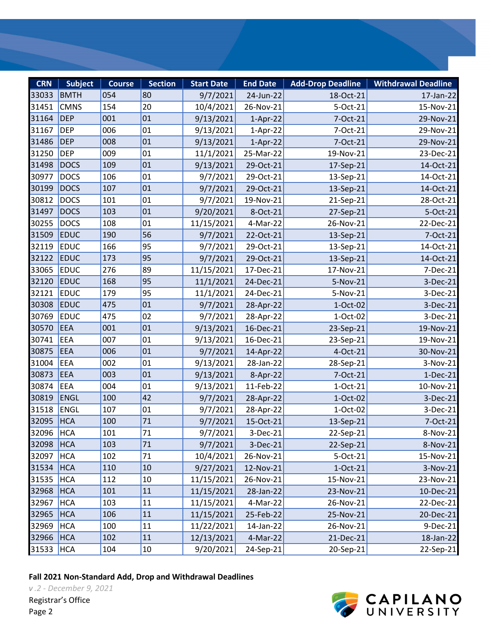| <b>CRN</b> | <b>Subject</b> | <b>Course</b> | <b>Section</b> | <b>Start Date</b> | <b>End Date</b> | <b>Add-Drop Deadline</b> | <b>Withdrawal Deadline</b> |
|------------|----------------|---------------|----------------|-------------------|-----------------|--------------------------|----------------------------|
| 33033      | <b>BMTH</b>    | 054           | 80             | 9/7/2021          | 24-Jun-22       | 18-Oct-21                | 17-Jan-22                  |
| 31451      | <b>CMNS</b>    | 154           | 20             | 10/4/2021         | 26-Nov-21       | 5-Oct-21                 | 15-Nov-21                  |
| 31164      | <b>DEP</b>     | 001           | 01             | 9/13/2021         | $1-Apr-22$      | 7-Oct-21                 | 29-Nov-21                  |
| 31167      | <b>DEP</b>     | 006           | 01             | 9/13/2021         | $1-Apr-22$      | 7-Oct-21                 | 29-Nov-21                  |
| 31486      | <b>DEP</b>     | 008           | 01             | 9/13/2021         | $1-Apr-22$      | 7-Oct-21                 | 29-Nov-21                  |
| 31250      | <b>DEP</b>     | 009           | 01             | 11/1/2021         | 25-Mar-22       | 19-Nov-21                | 23-Dec-21                  |
| 31498      | <b>DOCS</b>    | 109           | 01             | 9/13/2021         | 29-Oct-21       | 17-Sep-21                | 14-Oct-21                  |
| 30977      | <b>DOCS</b>    | 106           | 01             | 9/7/2021          | 29-Oct-21       | 13-Sep-21                | 14-Oct-21                  |
| 30199      | <b>DOCS</b>    | 107           | 01             | 9/7/2021          | 29-Oct-21       | 13-Sep-21                | 14-Oct-21                  |
| 30812      | <b>DOCS</b>    | 101           | 01             | 9/7/2021          | 19-Nov-21       | 21-Sep-21                | 28-Oct-21                  |
| 31497      | <b>DOCS</b>    | 103           | 01             | 9/20/2021         | 8-Oct-21        | 27-Sep-21                | 5-Oct-21                   |
| 30255      | <b>DOCS</b>    | 108           | 01             | 11/15/2021        | 4-Mar-22        | 26-Nov-21                | 22-Dec-21                  |
| 31509      | <b>EDUC</b>    | 190           | 56             | 9/7/2021          | 22-Oct-21       | 13-Sep-21                | 7-Oct-21                   |
| 32119      | <b>EDUC</b>    | 166           | 95             | 9/7/2021          | 29-Oct-21       | 13-Sep-21                | 14-Oct-21                  |
| 32122      | <b>EDUC</b>    | 173           | 95             | 9/7/2021          | 29-Oct-21       | 13-Sep-21                | 14-Oct-21                  |
| 33065      | <b>EDUC</b>    | 276           | 89             | 11/15/2021        | 17-Dec-21       | 17-Nov-21                | 7-Dec-21                   |
| 32120      | <b>EDUC</b>    | 168           | 95             | 11/1/2021         | 24-Dec-21       | 5-Nov-21                 | 3-Dec-21                   |
| 32121      | <b>EDUC</b>    | 179           | 95             | 11/1/2021         | 24-Dec-21       | 5-Nov-21                 | 3-Dec-21                   |
| 30308      | <b>EDUC</b>    | 475           | 01             | 9/7/2021          | 28-Apr-22       | 1-Oct-02                 | 3-Dec-21                   |
| 30769      | <b>EDUC</b>    | 475           | 02             | 9/7/2021          | 28-Apr-22       | 1-Oct-02                 | 3-Dec-21                   |
| 30570      | <b>EEA</b>     | 001           | 01             | 9/13/2021         | 16-Dec-21       | 23-Sep-21                | 19-Nov-21                  |
| 30741      | EEA            | 007           | 01             | 9/13/2021         | 16-Dec-21       | 23-Sep-21                | 19-Nov-21                  |
| 30875      | <b>EEA</b>     | 006           | 01             | 9/7/2021          | 14-Apr-22       | 4-Oct-21                 | 30-Nov-21                  |
| 31004      | EEA            | 002           | 01             | 9/13/2021         | 28-Jan-22       | 28-Sep-21                | 3-Nov-21                   |
| 30873      | <b>EEA</b>     | 003           | 01             | 9/13/2021         | 8-Apr-22        | 7-Oct-21                 | $1-Dec-21$                 |
| 30874      | <b>EEA</b>     | 004           | 01             | 9/13/2021         | 11-Feb-22       | $1-Oct-21$               | 10-Nov-21                  |
| 30819      | <b>ENGL</b>    | 100           | 42             | 9/7/2021          | 28-Apr-22       | 1-Oct-02                 | 3-Dec-21                   |
| 31518      | <b>ENGL</b>    | 107           | 01             | 9/7/2021          | 28-Apr-22       | 1-Oct-02                 | 3-Dec-21                   |
| 32095      | <b>HCA</b>     | 100           | 71             | 9/7/2021          | 15-Oct-21       | 13-Sep-21                | 7-Oct-21                   |
| 32096 HCA  |                | 101           | $71\,$         | 9/7/2021          | $3-Dec-21$      | 22-Sep-21                | 8-Nov-21                   |
| 32098      | HCA            | 103           | 71             | 9/7/2021          | 3-Dec-21        | 22-Sep-21                | 8-Nov-21                   |
| 32097      | <b>HCA</b>     | 102           | 71             | 10/4/2021         | 26-Nov-21       | 5-Oct-21                 | 15-Nov-21                  |
| 31534      | <b>HCA</b>     | 110           | 10             | 9/27/2021         | 12-Nov-21       | $1-Oct-21$               | 3-Nov-21                   |
| 31535      | <b>HCA</b>     | 112           | 10             | 11/15/2021        | 26-Nov-21       | 15-Nov-21                | 23-Nov-21                  |
| 32968      | <b>HCA</b>     | 101           | 11             | 11/15/2021        | 28-Jan-22       | 23-Nov-21                | $10$ -Dec-21               |
| 32967      | <b>HCA</b>     | 103           | 11             | 11/15/2021        | 4-Mar-22        | 26-Nov-21                | 22-Dec-21                  |
| 32965      | <b>HCA</b>     | 106           | 11             | 11/15/2021        | 25-Feb-22       | 25-Nov-21                | 20-Dec-21                  |
| 32969      | <b>HCA</b>     | 100           | 11             | 11/22/2021        | 14-Jan-22       | 26-Nov-21                | $9$ -Dec-21                |
| 32966      | <b>HCA</b>     | 102           | 11             | 12/13/2021        | 4-Mar-22        | 21-Dec-21                | 18-Jan-22                  |
| 31533      | <b>HCA</b>     | 104           | 10             | 9/20/2021         | $24-Sep-21$     | 20-Sep-21                | 22-Sep-21                  |



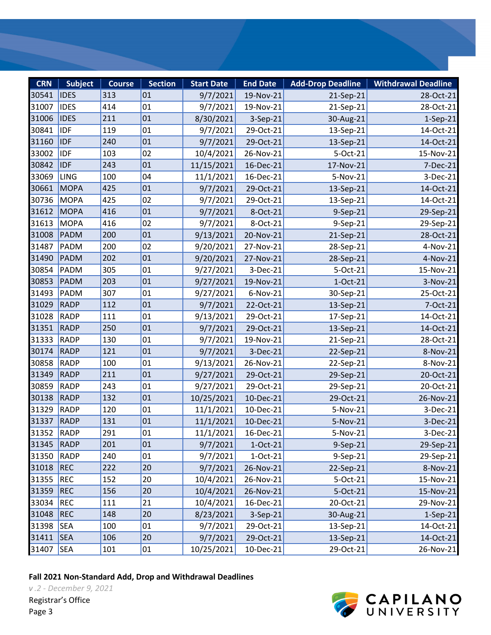| <b>CRN</b> | <b>Subject</b> | <b>Course</b> | <b>Section</b> | <b>Start Date</b> | <b>End Date</b> | <b>Add-Drop Deadline</b> | <b>Withdrawal Deadline</b> |
|------------|----------------|---------------|----------------|-------------------|-----------------|--------------------------|----------------------------|
| 30541      | <b>IDES</b>    | 313           | 01             | 9/7/2021          | 19-Nov-21       | 21-Sep-21                | 28-Oct-21                  |
| 31007      | <b>IDES</b>    | 414           | 01             | 9/7/2021          | 19-Nov-21       | 21-Sep-21                | 28-Oct-21                  |
| 31006      | <b>IDES</b>    | 211           | 01             | 8/30/2021         | 3-Sep-21        | 30-Aug-21                | $1-Sep-21$                 |
| 30841      | <b>IDF</b>     | 119           | 01             | 9/7/2021          | 29-Oct-21       | 13-Sep-21                | 14-Oct-21                  |
| 31160      | <b>IDF</b>     | 240           | 01             | 9/7/2021          | 29-Oct-21       | 13-Sep-21                | 14-Oct-21                  |
| 33002      | <b>IDF</b>     | 103           | 02             | 10/4/2021         | 26-Nov-21       | 5-Oct-21                 | 15-Nov-21                  |
| 30842      | <b>IDF</b>     | 243           | 01             | 11/15/2021        | 16-Dec-21       | 17-Nov-21                | 7-Dec-21                   |
| 33069      | LING           | 100           | 04             | 11/1/2021         | 16-Dec-21       | 5-Nov-21                 | 3-Dec-21                   |
| 30661      | <b>MOPA</b>    | 425           | 01             | 9/7/2021          | 29-Oct-21       | 13-Sep-21                | 14-Oct-21                  |
| 30736      | <b>MOPA</b>    | 425           | 02             | 9/7/2021          | 29-Oct-21       | 13-Sep-21                | 14-Oct-21                  |
| 31612      | <b>MOPA</b>    | 416           | 01             | 9/7/2021          | 8-Oct-21        | 9-Sep-21                 | 29-Sep-21                  |
| 31613      | <b>MOPA</b>    | 416           | 02             | 9/7/2021          | 8-Oct-21        | 9-Sep-21                 | 29-Sep-21                  |
| 31008      | PADM           | 200           | 01             | 9/13/2021         | 20-Nov-21       | 21-Sep-21                | 28-Oct-21                  |
| 31487      | PADM           | 200           | 02             | 9/20/2021         | 27-Nov-21       | 28-Sep-21                | 4-Nov-21                   |
| 31490      | PADM           | 202           | 01             | 9/20/2021         | 27-Nov-21       | 28-Sep-21                | 4-Nov-21                   |
| 30854      | PADM           | 305           | 01             | 9/27/2021         | 3-Dec-21        | 5-Oct-21                 | 15-Nov-21                  |
| 30853      | PADM           | 203           | 01             | 9/27/2021         | 19-Nov-21       | 1-Oct-21                 | 3-Nov-21                   |
| 31493      | PADM           | 307           | 01             | 9/27/2021         | 6-Nov-21        | 30-Sep-21                | 25-Oct-21                  |
| 31029      | <b>RADP</b>    | 112           | 01             | 9/7/2021          | 22-Oct-21       | 13-Sep-21                | 7-Oct-21                   |
| 31028      | <b>RADP</b>    | 111           | 01             | 9/13/2021         | 29-Oct-21       | 17-Sep-21                | 14-Oct-21                  |
| 31351      | <b>RADP</b>    | 250           | 01             | 9/7/2021          | 29-Oct-21       | 13-Sep-21                | 14-Oct-21                  |
| 31333      | <b>RADP</b>    | 130           | 01             | 9/7/2021          | 19-Nov-21       | 21-Sep-21                | 28-Oct-21                  |
| 30174      | <b>RADP</b>    | 121           | 01             | 9/7/2021          | 3-Dec-21        | 22-Sep-21                | 8-Nov-21                   |
| 30858      | <b>RADP</b>    | 100           | 01             | 9/13/2021         | 26-Nov-21       | 22-Sep-21                | 8-Nov-21                   |
| 31349      | <b>RADP</b>    | 211           | 01             | 9/27/2021         | 29-Oct-21       | 29-Sep-21                | 20-Oct-21                  |
| 30859      | <b>RADP</b>    | 243           | 01             | 9/27/2021         | 29-Oct-21       | 29-Sep-21                | 20-Oct-21                  |
| 30138      | <b>RADP</b>    | 132           | 01             | 10/25/2021        | 10-Dec-21       | 29-Oct-21                | 26-Nov-21                  |
| 31329      | <b>RADP</b>    | 120           | 01             | 11/1/2021         | 10-Dec-21       | 5-Nov-21                 | 3-Dec-21                   |
| 31337      | <b>RADP</b>    | 131           | 01             | 11/1/2021         | 10-Dec-21       | 5-Nov-21                 | 3-Dec-21                   |
| 31352 RADP |                | 291           | 01             | 11/1/2021         | 16-Dec-21       | 5-Nov-21                 | 3-Dec-21                   |
| 31345      | <b>RADP</b>    | 201           | 01             | 9/7/2021          | $1-Oct-21$      | 9-Sep-21                 | 29-Sep-21                  |
| 31350      | <b>RADP</b>    | 240           | 01             | 9/7/2021          | $1-Oct-21$      | 9-Sep-21                 | 29-Sep-21                  |
| 31018      | <b>REC</b>     | 222           | 20             | 9/7/2021          | 26-Nov-21       | 22-Sep-21                | 8-Nov-21                   |
| 31355      | <b>REC</b>     | 152           | 20             | 10/4/2021         | 26-Nov-21       | 5-Oct-21                 | 15-Nov-21                  |
| 31359      | <b>REC</b>     | 156           | 20             | 10/4/2021         | 26-Nov-21       | 5-Oct-21                 | 15-Nov-21                  |
| 33034      | <b>REC</b>     | 111           | 21             | 10/4/2021         | 16-Dec-21       | 20-Oct-21                | 29-Nov-21                  |
| 31048      | <b>REC</b>     | 148           | 20             | 8/23/2021         | 3-Sep-21        | 30-Aug-21                | $1-Sep-21$                 |
| 31398      | <b>SEA</b>     | 100           | 01             | 9/7/2021          | 29-Oct-21       | 13-Sep-21                | 14-Oct-21                  |
| 31411      | <b>SEA</b>     | 106           | 20             | 9/7/2021          | 29-Oct-21       | 13-Sep-21                | 14-Oct-21                  |
| 31407      | <b>SEA</b>     | 101           | 01             | 10/25/2021        | 10-Dec-21       | 29-Oct-21                | 26-Nov-21                  |